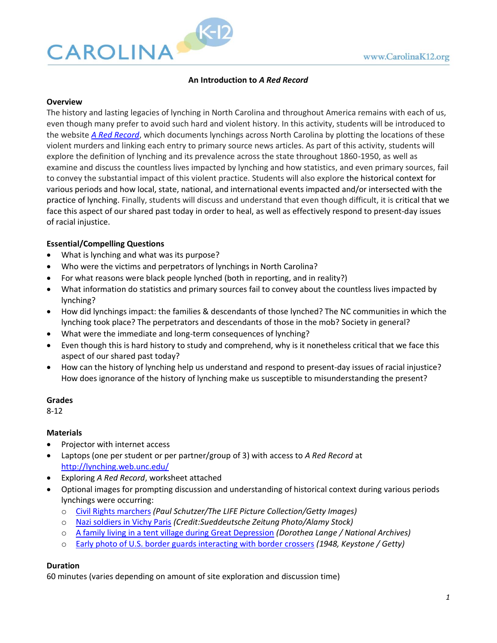

### **An Introduction to** *A Red Record*

#### **Overview**

The history and lasting legacies of lynching in North Carolina and throughout America remains with each of us, even though many prefer to avoid such hard and violent history. In this activity, students will be introduced to the website *A [Red Record](http://lynching.web.unc.edu/)*, which documents lynchings across North Carolina by plotting the locations of these violent murders and linking each entry to primary source news articles. As part of this activity, students will explore the definition of lynching and its prevalence across the state throughout 1860-1950, as well as examine and discuss the countless lives impacted by lynching and how statistics, and even primary sources, fail to convey the substantial impact of this violent practice. Students will also explore the historical context for various periods and how local, state, national, and international events impacted and/or intersected with the practice of lynching. Finally, students will discuss and understand that even though difficult, it is critical that we face this aspect of our shared past today in order to heal, as well as effectively respond to present-day issues of racial injustice.

### **Essential/Compelling Questions**

- What is lynching and what was its purpose?
- Who were the victims and perpetrators of lynchings in North Carolina?
- For what reasons were black people lynched (both in reporting, and in reality?)
- What information do statistics and primary sources fail to convey about the countless lives impacted by lynching?
- How did lynchings impact: the families & descendants of those lynched? The NC communities in which the lynching took place? The perpetrators and descendants of those in the mob? Society in general?
- What were the immediate and long-term consequences of lynching?
- Even though this is hard history to study and comprehend, why is it nonetheless critical that we face this aspect of our shared past today?
- How can the history of lynching help us understand and respond to present-day issues of racial injustice? How does ignorance of the history of lynching make us susceptible to misunderstanding the present?

#### **Grades**

8-12

#### **Materials**

- Projector with internet access
- Laptops (one per student or per partner/group of 3) with access to *A Red Record* at <http://lynching.web.unc.edu/>
- Exploring *A Red Record*, worksheet attached
- Optional images for prompting discussion and understanding of historical context during various periods lynchings were occurring:
	- o [Civil Rights marchers](https://cdn.vox-cdn.com/thumbor/flN3YMI2_S07jNAgJ0o9w-xnXOQ=/0x0:5700x3864/1200x675/filters:focal(984x1756:1896x2668)/cdn.vox-cdn.com/uploads/chorus_image/image/57201375/GettyImages_155892544.0.jpg) *(Paul Schutzer/The LIFE Picture Collection/Getty Images)*
	- o [Nazi soldiers in Vichy Paris](https://www.discoverwalks.com/blog/wp-content/uploads/2017/03/world-war-2-in-paris-21.jpg) *(Credit:Sueddeutsche Zeitung Photo/Alamy Stock)*
	- o [A family living in a tent village during Great Depression](https://www.thebalance.com/thmb/SH9RZTrLdRGw45l_RKVLnxJOfpI=/640x514/filters:no_upscale():fill(transparent,1)/Nipomo-CA-Dorothea-Lange-56a9a6513df78cf772a938c2.jpg) *(Dorothea Lange / National Archives)*
	- o [Early photo of U.S. border guards interacting with border crossers](https://media.npr.org/assets/img/2011/07/11/3259790_custom-1eb766c9c3eb65fb2b3e78cd09a8b066b967b9a6-s800-c85.jpg) *(1948, Keystone / Getty)*

#### **Duration**

60 minutes (varies depending on amount of site exploration and discussion time)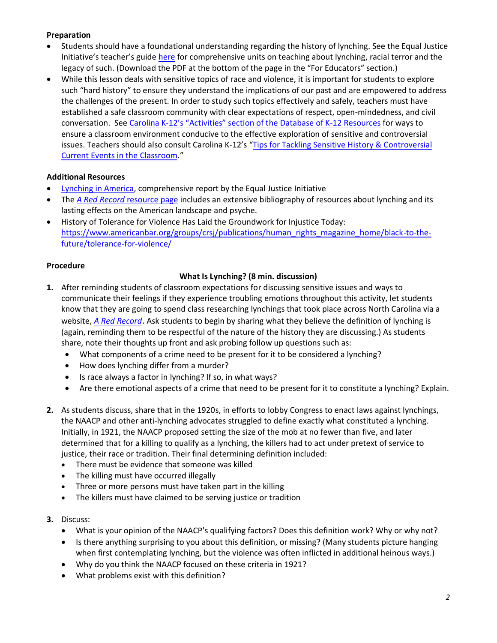# **Preparation**

- Students should have a foundational understanding regarding the history of lynching. See the Equal Justice Initiative's teacher's guide [here](https://lynchinginamerica.eji.org/report-landing) for comprehensive units on teaching about lynching, racial terror and the legacy of such. (Download the PDF at the bottom of the page in the "For Educators" section.)
- While this lesson deals with sensitive topics of race and violence, it is important for students to explore such "hard history" to ensure they understand the implications of our past and are empowered to address the challenges of the present. In order to study such topics effectively and safely, teachers must have established a safe classroom community with clear expectations of respect, open-mindedness, and civil conversation. See Carolina K-12's "Activities" s[ection of the Database of K-12 Resources](https://k12database.unc.edu/) for ways to ensure a classroom environment conducive to the effective exploration of sensitive and controversial issues. Teachers should also consult Carolina K-12's "Tips for Tackling Sensitive History & Controversial [Current Events in the Classroom](https://k12database.unc.edu/files/2019/06/TipsControversialIssues.pdf)."

# **Additional Resources**

- [Lynching in America,](https://lynchinginamerica.eji.org/report-landing) comprehensive report by the Equal Justice Initiative
- The *A Red Record* [resource page](http://lynching.web.unc.edu/bibliography/) includes an extensive bibliography of resources about lynching and its lasting effects on the American landscape and psyche.
- History of Tolerance for Violence Has Laid the Groundwork for Injustice Today: [https://www.americanbar.org/groups/crsj/publications/human\\_rights\\_magazine\\_home/black-to-the](https://www.americanbar.org/groups/crsj/publications/human_rights_magazine_home/black-to-the-future/tolerance-for-violence/)[future/tolerance-for-violence/](https://www.americanbar.org/groups/crsj/publications/human_rights_magazine_home/black-to-the-future/tolerance-for-violence/)

### **Procedure**

# **What Is Lynching? (8 min. discussion)**

- **1.** After reminding students of classroom expectations for discussing sensitive issues and ways to communicate their feelings if they experience troubling emotions throughout this activity, let students know that they are going to spend class researching lynchings that took place across North Carolina via a website, *[A Red Record](http://lynching.web.unc.edu/)*. Ask students to begin by sharing what they believe the definition of lynching is (again, reminding them to be respectful of the nature of the history they are discussing.) As students share, note their thoughts up front and ask probing follow up questions such as:
	- What components of a crime need to be present for it to be considered a lynching?
	- How does lynching differ from a murder?
	- Is race always a factor in lynching? If so, in what ways?
	- Are there emotional aspects of a crime that need to be present for it to constitute a lynching? Explain.
- **2.** As students discuss, share that in the 1920s, in efforts to lobby Congress to enact laws against lynchings, the NAACP and other anti-lynching advocates struggled to define exactly what constituted a lynching. Initially, in 1921, the NAACP proposed setting the size of the mob at no fewer than five, and later determined that for a killing to qualify as a lynching, the killers had to act under pretext of service to justice, their race or tradition. Their final determining definition included:
	- There must be evidence that someone was killed
	- The killing must have occurred illegally
	- Three or more persons must have taken part in the killing
	- The killers must have claimed to be serving justice or tradition
- **3.** Discuss:
	- What is your opinion of the NAACP's qualifying factors? Does this definition work? Why or why not?
	- Is there anything surprising to you about this definition, or missing? (Many students picture hanging when first contemplating lynching, but the violence was often inflicted in additional heinous ways.)
	- Why do you think the NAACP focused on these criteria in 1921?
	- What problems exist with this definition?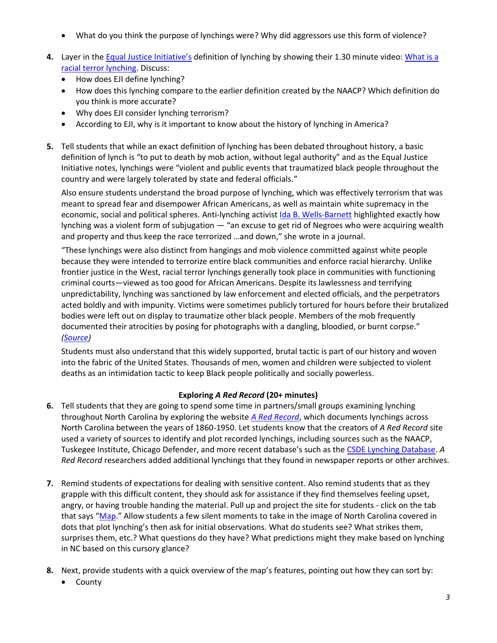- What do you think the purpose of lynchings were? Why did aggressors use this form of violence?
- **4.** Layer in the [Equal Justice Initiative's](https://eji.org/) definition of lynching by showing their 1.30 minute video: [What is a](https://www.youtube.com/watch?v=62zcYbaUlwA&feature=youtu.be)  [racial terror lynching.](https://www.youtube.com/watch?v=62zcYbaUlwA&feature=youtu.be) Discuss:
	- How does EJI define lynching?
	- How does this lynching compare to the earlier definition created by the NAACP? Which definition do you think is more accurate?
	- Why does EJI consider lynching terrorism?
	- According to EJI, why is it important to know about the history of lynching in America?
- **5.** Tell students that while an exact definition of lynching has been debated throughout history, a basic definition of lynch is "to put to death by mob action, without legal authority" and as the Equal Justice Initiative notes, lynchings were "violent and public events that traumatized black people throughout the country and were largely tolerated by state and federal officials."

Also ensure students understand the broad purpose of lynching, which was effectively terrorism that was meant to spread fear and disempower African Americans, as well as maintain white supremacy in the economic, social and political spheres. Anti-lynching activis[t Ida B. Wells-Barnett](https://www.nytimes.com/interactive/2018/obituaries/overlooked-ida-b-wells.html) highlighted exactly how lynching was a violent form of subjugation — "an excuse to get rid of Negroes who were acquiring wealth and property and thus keep the race terrorized …and down," she wrote in a journal.

"These lynchings were also distinct from hangings and mob violence committed against white people because they were intended to terrorize entire black communities and enforce racial hierarchy. Unlike frontier justice in the West, racial terror lynchings generally took place in communities with functioning criminal courts—viewed as too good for African Americans. Despite its lawlessness and terrifying unpredictability, lynching was sanctioned by law enforcement and elected officials, and the perpetrators acted boldly and with impunity. Victims were sometimes publicly tortured for hours before their brutalized bodies were left out on display to traumatize other black people. Members of the mob frequently documented their atrocities by posing for photographs with a dangling, bloodied, or burnt corpse." *[\(Source\)](https://www.americanbar.org/groups/crsj/publications/human_rights_magazine_home/black-to-the-future/tolerance-for-violence/)*

Students must also understand that this widely supported, brutal tactic is part of our history and woven into the fabric of the United States. Thousands of men, women and children were subjected to violent deaths as an intimidation tactic to keep Black people politically and socially powerless.

# **Exploring** *A Red Record* **(20+ minutes)**

- **6.** Tell students that they are going to spend some time in partners/small groups examining lynching throughout North Carolina by exploring the website *[A Red Record](http://lynching.web.unc.edu/)*, which documents lynchings across North Carolina between the years of 1860-1950. Let students know that the creators of *A Red Record* site used a variety of sources to identify and plot recorded lynchings, including sources such as the NAACP, Tuskegee Institute, Chicago Defender, and more recent database's such as the [CSDE Lynching Database.](http://lynching.csde.washington.edu/#/home) *A Red Record* researchers added additional lynchings that they found in newspaper reports or other archives.
- **7.** Remind students of expectations for dealing with sensitive content. Also remind students that as they grapple with this difficult content, they should ask for assistance if they find themselves feeling upset, angry, or having trouble handing the material. Pull up and project the site for students - click on the tab that says "[Map.](http://lynching.web.unc.edu/the-map/)" Allow students a few silent moments to take in the image of North Carolina covered in dots that plot lynching's then ask for initial observations. What do students see? What strikes them, surprises them, etc.? What questions do they have? What predictions might they make based on lynching in NC based on this cursory glance?
- **8.** Next, provide students with a quick overview of the map's features, pointing out how they can sort by:
	- County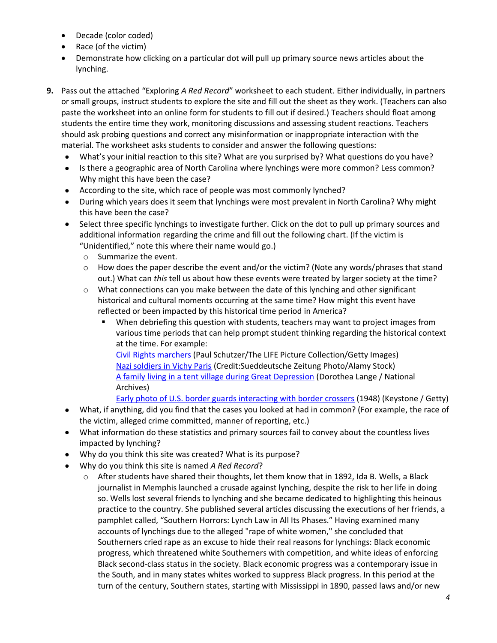- Decade (color coded)
- Race (of the victim)
- Demonstrate how clicking on a particular dot will pull up primary source news articles about the lynching.
- **9.** Pass out the attached "Exploring *A Red Record*" worksheet to each student. Either individually, in partners or small groups, instruct students to explore the site and fill out the sheet as they work. (Teachers can also paste the worksheet into an online form for students to fill out if desired.) Teachers should float among students the entire time they work, monitoring discussions and assessing student reactions. Teachers should ask probing questions and correct any misinformation or inappropriate interaction with the material. The worksheet asks students to consider and answer the following questions:
	- What's your initial reaction to this site? What are you surprised by? What questions do you have?
	- Is there a geographic area of North Carolina where lynchings were more common? Less common? Why might this have been the case?
	- According to the site, which race of people was most commonly lynched?
	- During which years does it seem that lynchings were most prevalent in North Carolina? Why might this have been the case?
	- Select three specific lynchings to investigate further. Click on the dot to pull up primary sources and additional information regarding the crime and fill out the following chart. (If the victim is "Unidentified," note this where their name would go.)
		- o Summarize the event.
		- $\circ$  How does the paper describe the event and/or the victim? (Note any words/phrases that stand out.) What can *this* tell us about how these events were treated by larger society at the time?
		- o What connections can you make between the date of this lynching and other significant historical and cultural moments occurring at the same time? How might this event have reflected or been impacted by this historical time period in America?
			- **■** When debriefing this question with students, teachers may want to project images from various time periods that can help prompt student thinking regarding the historical context at the time. For example:

[Civil Rights marchers](https://cdn.vox-cdn.com/thumbor/flN3YMI2_S07jNAgJ0o9w-xnXOQ=/0x0:5700x3864/1200x675/filters:focal(984x1756:1896x2668)/cdn.vox-cdn.com/uploads/chorus_image/image/57201375/GettyImages_155892544.0.jpg) (Paul Schutzer/The LIFE Picture Collection/Getty Images) [Nazi soldiers in Vichy Paris](https://www.discoverwalks.com/blog/wp-content/uploads/2017/03/world-war-2-in-paris-21.jpg) (Credit:Sueddeutsche Zeitung Photo/Alamy Stock) [A family living in a tent village during Great Depression](https://www.thebalance.com/thmb/SH9RZTrLdRGw45l_RKVLnxJOfpI=/640x514/filters:no_upscale():fill(transparent,1)/Nipomo-CA-Dorothea-Lange-56a9a6513df78cf772a938c2.jpg) (Dorothea Lange / National Archives)

[Early photo of U.S. border guards interacting with border crossers](https://media.npr.org/assets/img/2011/07/11/3259790_custom-1eb766c9c3eb65fb2b3e78cd09a8b066b967b9a6-s800-c85.jpg) (1948) (Keystone / Getty)

- What, if anything, did you find that the cases you looked at had in common? (For example, the race of the victim, alleged crime committed, manner of reporting, etc.)
- What information do these statistics and primary sources fail to convey about the countless lives impacted by lynching?
- Why do you think this site was created? What is its purpose?
- Why do you think this site is named *A Red Record*?
	- o After students have shared their thoughts, let them know that in 1892, Ida B. Wells, a Black journalist in Memphis launched a crusade against lynching, despite the risk to her life in doing so. Wells lost several friends to lynching and she became dedicated to highlighting this heinous practice to the country. She published several articles discussing the executions of her friends, a pamphlet called, "Southern Horrors: Lynch Law in All Its Phases." Having examined many accounts of lynchings due to the alleged "rape of white women," she concluded that Southerners cried rape as an excuse to hide their real reasons for lynchings: Black economic progress, which threatened white Southerners with competition, and white ideas of enforcing Black second-class status in the society. Black economic progress was a contemporary issue in the South, and in many states whites worked to suppress Black progress. In this period at the turn of the century, Southern states, starting with Mississippi in 1890, passed laws and/or new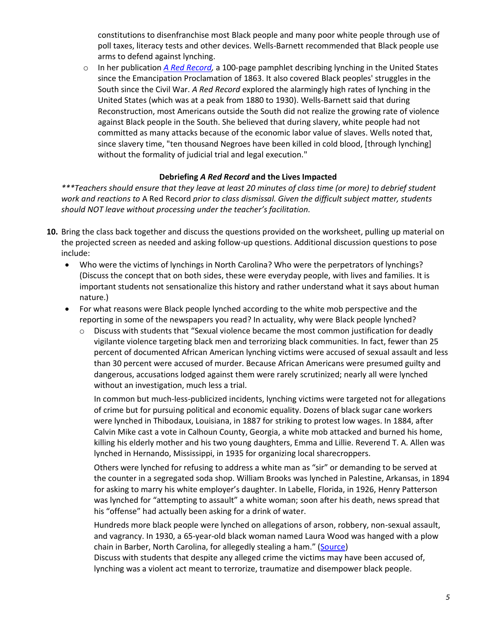constitutions to disenfranchise most Black people and many poor white people through use of poll taxes, literacy tests and other devices. Wells-Barnett recommended that Black people use arms to defend against lynching.

o In her publication *[A Red Record,](http://www.digitalhistory.uh.edu/disp_textbook.cfm?smtid=3&psid=3620)* a 100-page pamphlet describing lynching in the United States since the Emancipation Proclamation of 1863. It also covered Black peoples' struggles in the South since the Civil War. *A Red Record* explored the alarmingly high rates of lynching in the United States (which was at a peak from 1880 to 1930). Wells-Barnett said that during Reconstruction, most Americans outside the South did not realize the growing rate of violence against Black people in the South. She believed that during slavery, white people had not committed as many attacks because of the economic labor value of slaves. Wells noted that, since slavery time, "ten thousand Negroes have been killed in cold blood, [through lynching] without the formality of judicial trial and legal execution."

### **Debriefing** *A Red Record* **and the Lives Impacted**

*\*\*\*Teachers should ensure that they leave at least 20 minutes of class time (or more) to debrief student work and reactions to* A Red Record *prior to class dismissal. Given the difficult subject matter, students should NOT leave without processing under the teacher's facilitation.*

- **10.** Bring the class back together and discuss the questions provided on the worksheet, pulling up material on the projected screen as needed and asking follow-up questions. Additional discussion questions to pose include:
	- Who were the victims of lynchings in North Carolina? Who were the perpetrators of lynchings? (Discuss the concept that on both sides, these were everyday people, with lives and families. It is important students not sensationalize this history and rather understand what it says about human nature.)
	- For what reasons were Black people lynched according to the white mob perspective and the reporting in some of the newspapers you read? In actuality, why were Black people lynched?
		- $\circ$  Discuss with students that "Sexual violence became the most common justification for deadly vigilante violence targeting black men and terrorizing black communities. In fact, fewer than 25 percent of documented African American lynching victims were accused of sexual assault and less than 30 percent were accused of murder. Because African Americans were presumed guilty and dangerous, accusations lodged against them were rarely scrutinized; nearly all were lynched without an investigation, much less a trial.

In common but much-less-publicized incidents, lynching victims were targeted not for allegations of crime but for pursuing political and economic equality. Dozens of black sugar cane workers were lynched in Thibodaux, Louisiana, in 1887 for striking to protest low wages. In 1884, after Calvin Mike cast a vote in Calhoun County, Georgia, a white mob attacked and burned his home, killing his elderly mother and his two young daughters, Emma and Lillie. Reverend T. A. Allen was lynched in Hernando, Mississippi, in 1935 for organizing local sharecroppers.

Others were lynched for refusing to address a white man as "sir" or demanding to be served at the counter in a segregated soda shop. William Brooks was lynched in Palestine, Arkansas, in 1894 for asking to marry his white employer's daughter. In Labelle, Florida, in 1926, Henry Patterson was lynched for "attempting to assault" a white woman; soon after his death, news spread that his "offense" had actually been asking for a drink of water.

Hundreds more black people were lynched on allegations of arson, robbery, non-sexual assault, and vagrancy. In 1930, a 65-year-old black woman named Laura Wood was hanged with a plow chain in Barber, North Carolina, for allegedly stealing a ham." ([Source\)](https://www.americanbar.org/groups/crsj/publications/human_rights_magazine_home/black-to-the-future/tolerance-for-violence/)

Discuss with students that despite any alleged crime the victims may have been accused of, lynching was a violent act meant to terrorize, traumatize and disempower black people.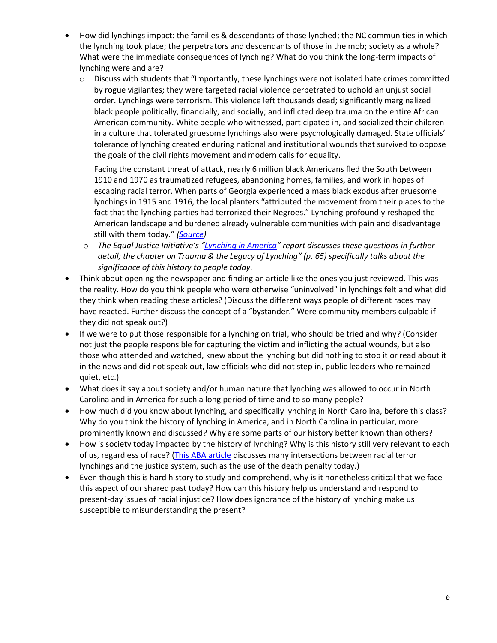- How did lynchings impact: the families & descendants of those lynched; the NC communities in which the lynching took place; the perpetrators and descendants of those in the mob; society as a whole? What were the immediate consequences of lynching? What do you think the long-term impacts of lynching were and are?
	- $\circ$  Discuss with students that "Importantly, these lynchings were not isolated hate crimes committed by rogue vigilantes; they were targeted racial violence perpetrated to uphold an unjust social order. Lynchings were terrorism. This violence left thousands dead; significantly marginalized black people politically, financially, and socially; and inflicted deep trauma on the entire African American community. White people who witnessed, participated in, and socialized their children in a culture that tolerated gruesome lynchings also were psychologically damaged. State officials' tolerance of lynching created enduring national and institutional wounds that survived to oppose the goals of the civil rights movement and modern calls for equality.

Facing the constant threat of attack, nearly 6 million black Americans fled the South between 1910 and 1970 as traumatized refugees, abandoning homes, families, and work in hopes of escaping racial terror. When parts of Georgia experienced a mass black exodus after gruesome lynchings in 1915 and 1916, the local planters "attributed the movement from their places to the fact that the lynching parties had terrorized their Negroes." Lynching profoundly reshaped the American landscape and burdened already vulnerable communities with pain and disadvantage still with them today." *[\(Source\)](https://www.americanbar.org/groups/crsj/publications/human_rights_magazine_home/black-to-the-future/tolerance-for-violence/)*

- o *The Equal Justice Initiative's "[Lynching in America](https://lynchinginamerica.eji.org/report-landing)" report discusses these questions in further detail; the chapter on Trauma & the Legacy of Lynching" (p. 65) specifically talks about the significance of this history to people today.*
- Think about opening the newspaper and finding an article like the ones you just reviewed. This was the reality. How do you think people who were otherwise "uninvolved" in lynchings felt and what did they think when reading these articles? (Discuss the different ways people of different races may have reacted. Further discuss the concept of a "bystander." Were community members culpable if they did not speak out?)
- If we were to put those responsible for a lynching on trial, who should be tried and why? (Consider not just the people responsible for capturing the victim and inflicting the actual wounds, but also those who attended and watched, knew about the lynching but did nothing to stop it or read about it in the news and did not speak out, law officials who did not step in, public leaders who remained quiet, etc.)
- What does it say about society and/or human nature that lynching was allowed to occur in North Carolina and in America for such a long period of time and to so many people?
- How much did you know about lynching, and specifically lynching in North Carolina, before this class? Why do you think the history of lynching in America, and in North Carolina in particular, more prominently known and discussed? Why are some parts of our history better known than others?
- How is society today impacted by the history of lynching? Why is this history still very relevant to each of us, regardless of race? [\(This ABA article](https://www.americanbar.org/groups/crsj/publications/human_rights_magazine_home/black-to-the-future/tolerance-for-violence/) discusses many intersections between racial terror lynchings and the justice system, such as the use of the death penalty today.)
- Even though this is hard history to study and comprehend, why is it nonetheless critical that we face this aspect of our shared past today? How can this history help us understand and respond to present-day issues of racial injustice? How does ignorance of the history of lynching make us susceptible to misunderstanding the present?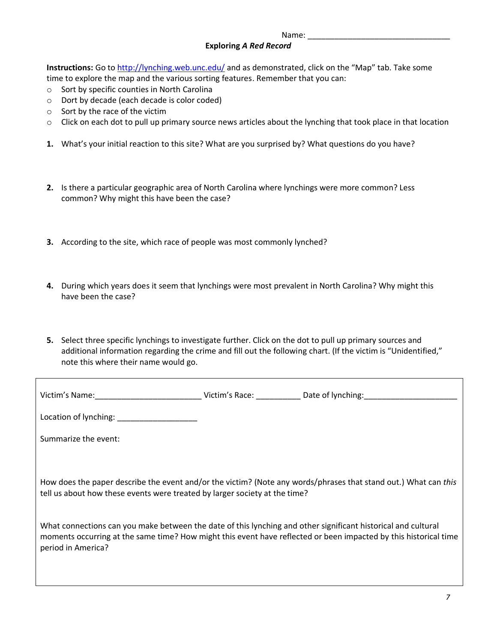# **Exploring** *A Red Record*

**Instructions:** Go t[o http://lynching.web.unc.edu/](http://lynching.web.unc.edu/) and as demonstrated, click on the "Map" tab. Take some time to explore the map and the various sorting features. Remember that you can:

- o Sort by specific counties in North Carolina
- o Dort by decade (each decade is color coded)
- o Sort by the race of the victim
- $\circ$  Click on each dot to pull up primary source news articles about the lynching that took place in that location
- **1.** What's your initial reaction to this site? What are you surprised by? What questions do you have?
- **2.** Is there a particular geographic area of North Carolina where lynchings were more common? Less common? Why might this have been the case?
- **3.** According to the site, which race of people was most commonly lynched?
- **4.** During which years does it seem that lynchings were most prevalent in North Carolina? Why might this have been the case?
- **5.** Select three specific lynchings to investigate further. Click on the dot to pull up primary sources and additional information regarding the crime and fill out the following chart. (If the victim is "Unidentified," note this where their name would go.

|                                                                                                                                                                                               |  | Victim's Race: Date of lynching:                                                                                 |  |  |
|-----------------------------------------------------------------------------------------------------------------------------------------------------------------------------------------------|--|------------------------------------------------------------------------------------------------------------------|--|--|
| Location of lynching: ___________________                                                                                                                                                     |  |                                                                                                                  |  |  |
| Summarize the event:                                                                                                                                                                          |  |                                                                                                                  |  |  |
|                                                                                                                                                                                               |  |                                                                                                                  |  |  |
| How does the paper describe the event and/or the victim? (Note any words/phrases that stand out.) What can this<br>tell us about how these events were treated by larger society at the time? |  |                                                                                                                  |  |  |
| What connections can you make between the date of this lynching and other significant historical and cultural<br>period in America?                                                           |  | moments occurring at the same time? How might this event have reflected or been impacted by this historical time |  |  |